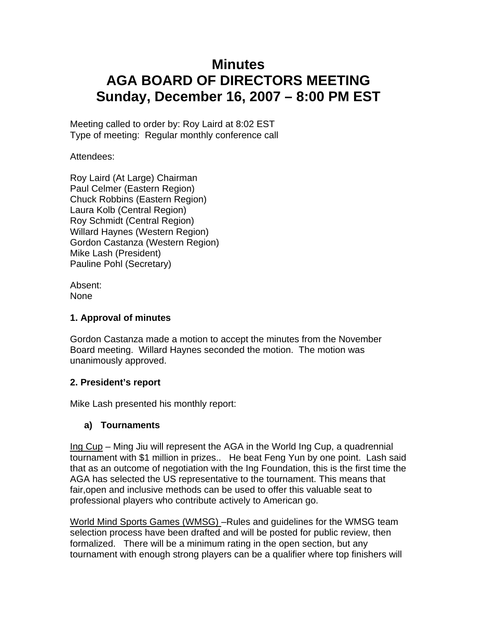# **Minutes AGA BOARD OF DIRECTORS MEETING Sunday, December 16, 2007 – 8:00 PM EST**

Meeting called to order by: Roy Laird at 8:02 EST Type of meeting: Regular monthly conference call

Attendees:

Roy Laird (At Large) Chairman Paul Celmer (Eastern Region) Chuck Robbins (Eastern Region) Laura Kolb (Central Region) Roy Schmidt (Central Region) Willard Haynes (Western Region) Gordon Castanza (Western Region) Mike Lash (President) Pauline Pohl (Secretary)

Absent: None

## **1. Approval of minutes**

Gordon Castanza made a motion to accept the minutes from the November Board meeting. Willard Haynes seconded the motion. The motion was unanimously approved.

## **2. President's report**

Mike Lash presented his monthly report:

## **a) Tournaments**

Ing Cup – Ming Jiu will represent the AGA in the World Ing Cup, a quadrennial tournament with \$1 million in prizes.. He beat Feng Yun by one point. Lash said that as an outcome of negotiation with the Ing Foundation, this is the first time the AGA has selected the US representative to the tournament. This means that fair,open and inclusive methods can be used to offer this valuable seat to professional players who contribute actively to American go.

World Mind Sports Games (WMSG) –Rules and guidelines for the WMSG team selection process have been drafted and will be posted for public review, then formalized. There will be a minimum rating in the open section, but any tournament with enough strong players can be a qualifier where top finishers will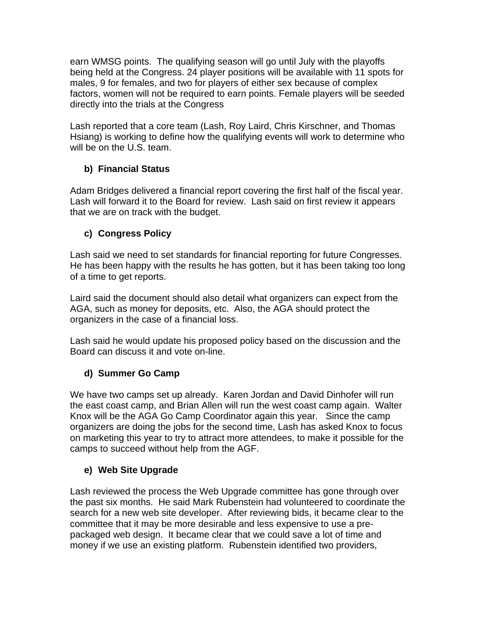earn WMSG points. The qualifying season will go until July with the playoffs being held at the Congress. 24 player positions will be available with 11 spots for males, 9 for females, and two for players of either sex because of complex factors, women will not be required to earn points. Female players will be seeded directly into the trials at the Congress

Lash reported that a core team (Lash, Roy Laird, Chris Kirschner, and Thomas Hsiang) is working to define how the qualifying events will work to determine who will be on the U.S. team.

# **b) Financial Status**

Adam Bridges delivered a financial report covering the first half of the fiscal year. Lash will forward it to the Board for review. Lash said on first review it appears that we are on track with the budget.

# **c) Congress Policy**

Lash said we need to set standards for financial reporting for future Congresses. He has been happy with the results he has gotten, but it has been taking too long of a time to get reports.

Laird said the document should also detail what organizers can expect from the AGA, such as money for deposits, etc. Also, the AGA should protect the organizers in the case of a financial loss.

Lash said he would update his proposed policy based on the discussion and the Board can discuss it and vote on-line.

# **d) Summer Go Camp**

We have two camps set up already. Karen Jordan and David Dinhofer will run the east coast camp, and Brian Allen will run the west coast camp again. Walter Knox will be the AGA Go Camp Coordinator again this year. Since the camp organizers are doing the jobs for the second time, Lash has asked Knox to focus on marketing this year to try to attract more attendees, to make it possible for the camps to succeed without help from the AGF.

## **e) Web Site Upgrade**

Lash reviewed the process the Web Upgrade committee has gone through over the past six months. He said Mark Rubenstein had volunteered to coordinate the search for a new web site developer. After reviewing bids, it became clear to the committee that it may be more desirable and less expensive to use a prepackaged web design. It became clear that we could save a lot of time and money if we use an existing platform. Rubenstein identified two providers,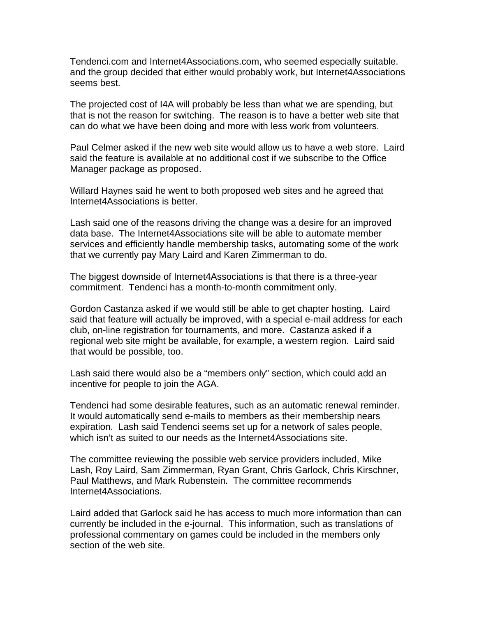Tendenci.com and Internet4Associations.com, who seemed especially suitable. and the group decided that either would probably work, but Internet4Associations seems best.

The projected cost of I4A will probably be less than what we are spending, but that is not the reason for switching. The reason is to have a better web site that can do what we have been doing and more with less work from volunteers.

Paul Celmer asked if the new web site would allow us to have a web store. Laird said the feature is available at no additional cost if we subscribe to the Office Manager package as proposed.

Willard Haynes said he went to both proposed web sites and he agreed that Internet4Associations is better.

Lash said one of the reasons driving the change was a desire for an improved data base. The Internet4Associations site will be able to automate member services and efficiently handle membership tasks, automating some of the work that we currently pay Mary Laird and Karen Zimmerman to do.

The biggest downside of Internet4Associations is that there is a three-year commitment. Tendenci has a month-to-month commitment only.

Gordon Castanza asked if we would still be able to get chapter hosting. Laird said that feature will actually be improved, with a special e-mail address for each club, on-line registration for tournaments, and more. Castanza asked if a regional web site might be available, for example, a western region. Laird said that would be possible, too.

Lash said there would also be a "members only" section, which could add an incentive for people to join the AGA.

Tendenci had some desirable features, such as an automatic renewal reminder. It would automatically send e-mails to members as their membership nears expiration. Lash said Tendenci seems set up for a network of sales people, which isn't as suited to our needs as the Internet4Associations site.

The committee reviewing the possible web service providers included, Mike Lash, Roy Laird, Sam Zimmerman, Ryan Grant, Chris Garlock, Chris Kirschner, Paul Matthews, and Mark Rubenstein. The committee recommends Internet4Associations.

Laird added that Garlock said he has access to much more information than can currently be included in the e-journal. This information, such as translations of professional commentary on games could be included in the members only section of the web site.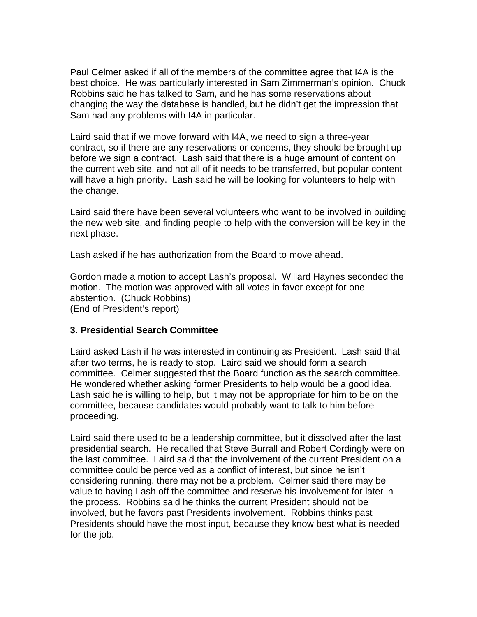Paul Celmer asked if all of the members of the committee agree that I4A is the best choice. He was particularly interested in Sam Zimmerman's opinion. Chuck Robbins said he has talked to Sam, and he has some reservations about changing the way the database is handled, but he didn't get the impression that Sam had any problems with I4A in particular.

Laird said that if we move forward with I4A, we need to sign a three-year contract, so if there are any reservations or concerns, they should be brought up before we sign a contract. Lash said that there is a huge amount of content on the current web site, and not all of it needs to be transferred, but popular content will have a high priority. Lash said he will be looking for volunteers to help with the change.

Laird said there have been several volunteers who want to be involved in building the new web site, and finding people to help with the conversion will be key in the next phase.

Lash asked if he has authorization from the Board to move ahead.

Gordon made a motion to accept Lash's proposal. Willard Haynes seconded the motion. The motion was approved with all votes in favor except for one abstention. (Chuck Robbins) (End of President's report)

### **3. Presidential Search Committee**

Laird asked Lash if he was interested in continuing as President. Lash said that after two terms, he is ready to stop. Laird said we should form a search committee. Celmer suggested that the Board function as the search committee. He wondered whether asking former Presidents to help would be a good idea. Lash said he is willing to help, but it may not be appropriate for him to be on the committee, because candidates would probably want to talk to him before proceeding.

Laird said there used to be a leadership committee, but it dissolved after the last presidential search. He recalled that Steve Burrall and Robert Cordingly were on the last committee. Laird said that the involvement of the current President on a committee could be perceived as a conflict of interest, but since he isn't considering running, there may not be a problem. Celmer said there may be value to having Lash off the committee and reserve his involvement for later in the process. Robbins said he thinks the current President should not be involved, but he favors past Presidents involvement. Robbins thinks past Presidents should have the most input, because they know best what is needed for the job.